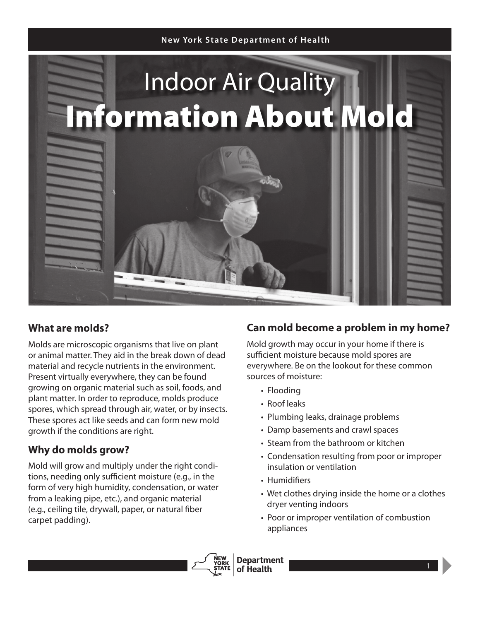#### **New York State Depar tment of Health**



### **What are molds?**

Molds are microscopic organisms that live on plant or animal matter. They aid in the break down of dead material and recycle nutrients in the environment. Present virtually everywhere, they can be found growing on organic material such as soil, foods, and plant matter. In order to reproduce, molds produce spores, which spread through air, water, or by insects. These spores act like seeds and can form new mold growth if the conditions are right.

# **Why do molds grow?**

Mold will grow and multiply under the right conditions, needing only sufficient moisture (e.g., in the form of very high humidity, condensation, or water from a leaking pipe, etc.), and organic material (e.g., ceiling tile, drywall, paper, or natural fiber carpet padding).

### **Can mold become a problem in my home?**

Mold growth may occur in your home if there is sufficient moisture because mold spores are everywhere. Be on the lookout for these common sources of moisture:

- Flooding
- Roof leaks
- Plumbing leaks, drainage problems
- Damp basements and crawl spaces
- Steam from the bathroom or kitchen
- Condensation resulting from poor or improper insulation or ventilation
- Humidifiers
- Wet clothes drying inside the home or a clothes dryer venting indoors
- Poor or improper ventilation of combustion appliances

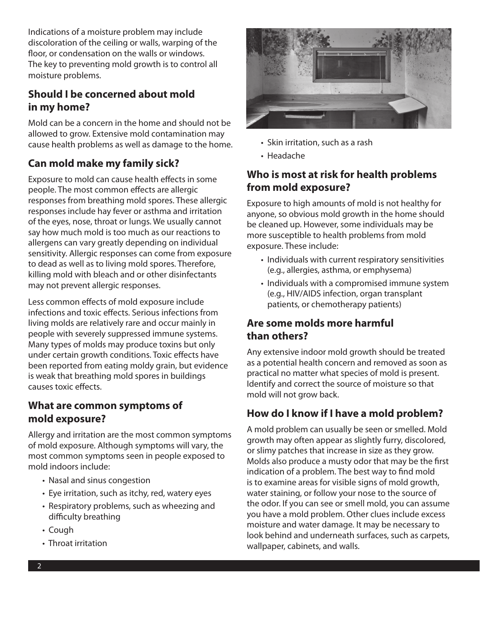Indications of a moisture problem may include discoloration of the ceiling or walls, warping of the floor, or condensation on the walls or windows. The key to preventing mold growth is to control all moisture problems.

# **Should I be concerned about mold in my home?**

Mold can be a concern in the home and should not be allowed to grow. Extensive mold contamination may cause health problems as well as damage to the home.

# **Can mold make my family sick?**

Exposure to mold can cause health effects in some people. The most common effects are allergic responses from breathing mold spores. These allergic responses include hay fever or asthma and irritation of the eyes, nose, throat or lungs. We usually cannot say how much mold is too much as our reactions to allergens can vary greatly depending on individual sensitivity. Allergic responses can come from exposure to dead as well as to living mold spores. Therefore, killing mold with bleach and or other disinfectants may not prevent allergic responses.

Less common effects of mold exposure include infections and toxic effects. Serious infections from living molds are relatively rare and occur mainly in people with severely suppressed immune systems. Many types of molds may produce toxins but only under certain growth conditions. Toxic effects have been reported from eating moldy grain, but evidence is weak that breathing mold spores in buildings causes toxic effects.

#### **What are common symptoms of mold exposure?**

Allergy and irritation are the most common symptoms of mold exposure. Although symptoms will vary, the most common symptoms seen in people exposed to mold indoors include:

- Nasal and sinus congestion
- Eye irritation, such as itchy, red, watery eyes
- Respiratory problems, such as wheezing and difficulty breathing
- Cough
- Throat irritation



- Skin irritation, such as a rash
- Headache

## **Who is most at risk for health problems from mold exposure?**

Exposure to high amounts of mold is not healthy for anyone, so obvious mold growth in the home should be cleaned up. However, some individuals may be more susceptible to health problems from mold exposure. These include:

- Individuals with current respiratory sensitivities (e.g., allergies, asthma, or emphysema)
- Individuals with a compromised immune system (e.g., HIV/AIDS infection, organ transplant patients, or chemotherapy patients)

### **Are some molds more harmful than others?**

Any extensive indoor mold growth should be treated as a potential health concern and removed as soon as practical no matter what species of mold is present. Identify and correct the source of moisture so that mold will not grow back.

# **How do I know if I have a mold problem?**

A mold problem can usually be seen or smelled. Mold growth may often appear as slightly furry, discolored, or slimy patches that increase in size as they grow. Molds also produce a musty odor that may be the first indication of a problem. The best way to find mold is to examine areas for visible signs of mold growth, water staining, or follow your nose to the source of the odor. If you can see or smell mold, you can assume you have a mold problem. Other clues include excess moisture and water damage. It may be necessary to look behind and underneath surfaces, such as carpets, wallpaper, cabinets, and walls.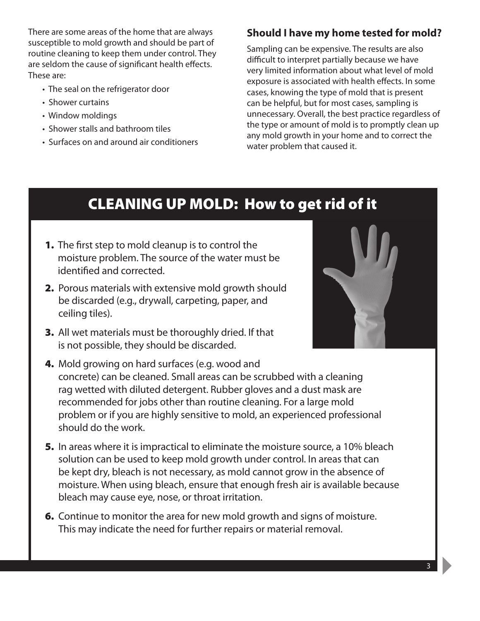There are some areas of the home that are always susceptible to mold growth and should be part of routine cleaning to keep them under control. They are seldom the cause of significant health effects. These are:

- The seal on the refrigerator door
- Shower curtains
- Window moldings
- Shower stalls and bathroom tiles
- Surfaces on and around air conditioners

#### **Should I have my home tested for mold?**

Sampling can be expensive. The results are also difficult to interpret partially because we have very limited information about what level of mold exposure is associated with health effects. In some cases, knowing the type of mold that is present can be helpful, but for most cases, sampling is unnecessary. Overall, the best practice regardless of the type or amount of mold is to promptly clean up any mold growth in your home and to correct the water problem that caused it.

# CLEANING UP MOLD: How to get rid of it

- **1.** The first step to mold cleanup is to control the moisture problem. The source of the water must be identified and corrected.
- 2. Porous materials with extensive mold growth should be discarded (e.g., drywall, carpeting, paper, and ceiling tiles).
- 3. All wet materials must be thoroughly dried. If that is not possible, they should be discarded.



- 4. Mold growing on hard surfaces (e.g. wood and concrete) can be cleaned. Small areas can be scrubbed with a cleaning rag wetted with diluted detergent. Rubber gloves and a dust mask are recommended for jobs other than routine cleaning. For a large mold problem or if you are highly sensitive to mold, an experienced professional should do the work.
- 5. In areas where it is impractical to eliminate the moisture source, a 10% bleach solution can be used to keep mold growth under control. In areas that can be kept dry, bleach is not necessary, as mold cannot grow in the absence of moisture. When using bleach, ensure that enough fresh air is available because bleach may cause eye, nose, or throat irritation.
- **6.** Continue to monitor the area for new mold growth and signs of moisture. This may indicate the need for further repairs or material removal.